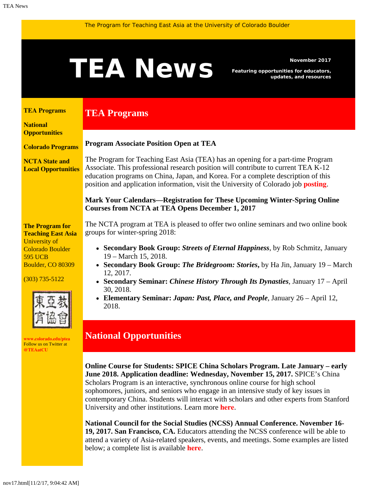<span id="page-0-1"></span><span id="page-0-0"></span>

**19, 2017. San Francisco, CA.** Educators attending the NCSS conference will be able to attend a variety of Asia-related speakers, events, and meetings. Some examples are listed below; a complete list is available **[here](http://bit.ly/2xLZbRe)**.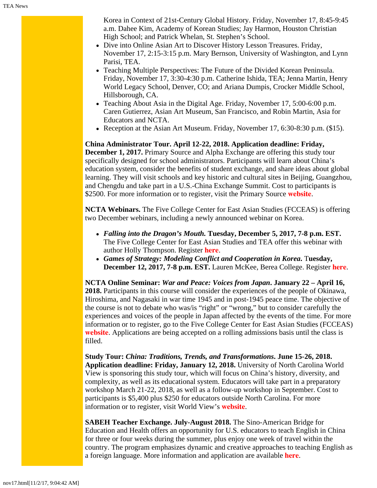Korea in Context of 21st-Century Global History. Friday, November 17, 8:45-9:45 a.m. Dahee Kim, Academy of Korean Studies; Jay Harmon, Houston Christian High School; and Patrick Whelan, St. Stephen's School.

- Dive into Online Asian Art to Discover History Lesson Treasures. Friday, November 17, 2:15-3:15 p.m. Mary Bernson, University of Washington, and Lynn Parisi, TEA.
- Teaching Multiple Perspectives: The Future of the Divided Korean Peninsula. Friday, November 17, 3:30-4:30 p.m. Catherine Ishida, TEA; Jenna Martin, Henry World Legacy School, Denver, CO; and Ariana Dumpis, Crocker Middle School, Hillsborough, CA.
- Teaching About Asia in the Digital Age. Friday, November 17, 5:00-6:00 p.m. Caren Gutierrez, Asian Art Museum, San Francisco, and Robin Martin, Asia for Educators and NCTA.
- Reception at the Asian Art Museum. Friday, November 17, 6:30-8:30 p.m. (\$15).

**China Administrator Tour. April 12-22, 2018. Application deadline: Friday, December 1, 2017.** Primary Source and Alpha Exchange are offering this study tour specifically designed for school administrators. Participants will learn about China's education system, consider the benefits of student exchange, and share ideas about global learning. They will visit schools and key historic and cultural sites in Beijing, Guangzhou, and Chengdu and take part in a U.S.-China Exchange Summit. Cost to participants is \$2500. For more information or to register, visit the Primary Source **[website](http://www.primarysource.org/studytour)**.

**NCTA Webinars.** The Five College Center for East Asian Studies (FCCEAS) is offering two December webinars, including a newly announced webinar on Korea.

- *Falling into the Dragon's Mouth.* **Tuesday, December 5, 2017, 7-8 p.m. EST.** The Five College Center for East Asian Studies and TEA offer this webinar with author Holly Thompson. Register **[here](https://register.gotowebinar.com/register/1324661207584911618)**.
- *Games of Strategy: Modeling Conflict and Cooperation in Korea***.** T**uesday, December 12, 2017, 7-8 p.m. EST.** Lauren McKee, Berea College. Register **[here](https://attendee.gotowebinar.com/register/7322684055649507075)**.

**NCTA Online Seminar:** *War and Peace: Voices from Japan***. January 22 – April 16, 2018.** Participants in this course will consider the experiences of the people of Okinawa, Hiroshima, and Nagasaki in war time 1945 and in post-1945 peace time. The objective of the course is not to debate who was/is "right" or "wrong," but to consider carefully the experiences and voices of the people in Japan affected by the events of the time. For more information or to register, go to the Five College Center for East Asian Studies (FCCEAS) **[website](https://www.fivecolleges.edu/fcceas/ncta/2018-ncta-online-seminar)**. Applications are being accepted on a rolling admissions basis until the class is filled.

**Study Tour:** *China: Traditions, Trends, and Transformations***. June 15-26, 2018. Application deadline: Friday, January 12, 2018.** University of North Carolina World View is sponsoring this study tour, which will focus on China's history, diversity, and complexity, as well as its educational system. Educators will take part in a preparatory workshop March 21-22, 2018, as well as a follow-up workshop in September. Cost to participants is \$5,400 plus \$250 for educators outside North Carolina. For more information or to register, visit World View's **[website](http://worldview.unc.edu/china-2018)**.

**SABEH Teacher Exchange. July-August 2018.** The Sino-American Bridge for Education and Health offers an opportunity for U.S. educators to teach English in China for three or four weeks during the summer, plus enjoy one week of travel within the country. The program emphasizes dynamic and creative approaches to teaching English as a foreign language. More information and application are available **[here](https://www.sabeh.org/teach-in-china)**.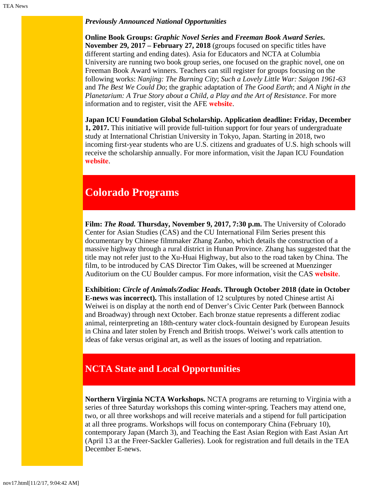## *Previously Announced National Opportunities*

**Online Book Groups:** *Graphic Novel Series* **and** *Freeman Book Award Series***. November 29, 2017 – February 27, 2018** (groups focused on specific titles have different starting and ending dates). Asia for Educators and NCTA at Columbia University are running two book group series, one focused on the graphic novel, one on Freeman Book Award winners. Teachers can still register for groups focusing on the following works: *Nanjing: The Burning City*; *Such a Lovely Little War: Saigon 1961-63* and *The Best We Could Do*; the graphic adaptation of *The Good Earth*; and *A Night in the Planetarium: A True Story about a Child, a Play and the Art of Resistance*. For more information and to register, visit the AFE **[website](http://afe.easia.columbia.edu/online_course/)**.

**Japan ICU Foundation Global Scholarship. Application deadline: Friday, December 1, 2017.** This initiative will provide full-tuition support for four years of undergraduate study at International Christian University in Tokyo, Japan. Starting in 2018, two incoming first-year students who are U.S. citizens and graduates of U.S. high schools will receive the scholarship annually. For more information, visit the Japan ICU Foundation **[website](http://jicuf.org/ussi)**.

## **Colorado Programs**

**Film:** *The Road.* **Thursday, November 9, 2017, 7:30 p.m.** The University of Colorado Center for Asian Studies (CAS) and the CU International Film Series present this documentary by Chinese filmmaker Zhang Zanbo, which details the construction of a massive highway through a rural district in Hunan Province. Zhang has suggested that the title may not refer just to the Xu-Huai Highway, but also to the road taken by China. The film, to be introduced by CAS Director Tim Oakes, will be screened at Muenzinger Auditorium on the CU Boulder campus. For more information, visit the CAS **[website](https://www.colorado.edu/cas/cu-international-film-series-presents-road-20171109)**.

**Exhibition:** *Circle of Animals/Zodiac Heads***. Through October 2018 (date in October E-news was incorrect).** This installation of 12 sculptures by noted Chinese artist Ai Weiwei is on display at the north end of Denver's Civic Center Park (between Bannock and Broadway) through next October. Each bronze statue represents a different zodiac animal, reinterpreting an 18th-century water clock-fountain designed by European Jesuits in China and later stolen by French and British troops. Weiwei's work calls attention to ideas of fake versus original art, as well as the issues of looting and repatriation.

## <span id="page-2-0"></span>**NCTA State and Local Opportunities**

**Northern Virginia NCTA Workshops.** NCTA programs are returning to Virginia with a series of three Saturday workshops this coming winter-spring. Teachers may attend one, two, or all three workshops and will receive materials and a stipend for full participation at all three programs. Workshops will focus on contemporary China (February 10), contemporary Japan (March 3), and Teaching the East Asian Region with East Asian Art (April 13 at the Freer-Sackler Galleries). Look for registration and full details in the TEA December E-news.